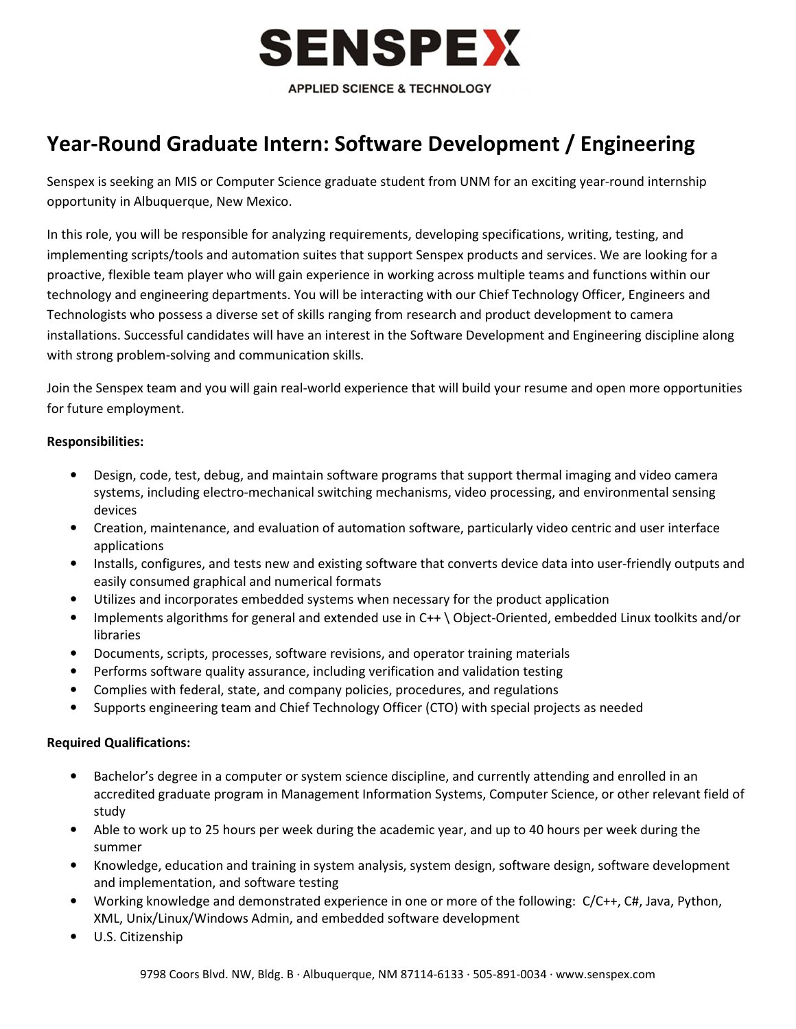

## Year-Round Graduate Intern: Software Development / Engineering

Senspex is seeking an MIS or Computer Science graduate student from UNM for an exciting year-round internship opportunity in Albuquerque, New Mexico.

In this role, you will be responsible for analyzing requirements, developing specifications, writing, testing, and implementing scripts/tools and automation suites that support Senspex products and services. We are looking for a proactive, flexible team player who will gain experience in working across multiple teams and functions within our technology and engineering departments. You will be interacting with our Chief Technology Officer, Engineers and Technologists who possess a diverse set of skills ranging from research and product development to camera installations. Successful candidates will have an interest in the Software Development and Engineering discipline along with strong problem-solving and communication skills.

Join the Senspex team and you will gain real-world experience that will build your resume and open more opportunities for future employment.

## Responsibilities:

- Design, code, test, debug, and maintain software programs that support thermal imaging and video camera systems, including electro-mechanical switching mechanisms, video processing, and environmental sensing devices
- Creation, maintenance, and evaluation of automation software, particularly video centric and user interface applications
- Installs, configures, and tests new and existing software that converts device data into user-friendly outputs and easily consumed graphical and numerical formats
- Utilizes and incorporates embedded systems when necessary for the product application
- Implements algorithms for general and extended use in C++ \ Object-Oriented, embedded Linux toolkits and/or libraries
- Documents, scripts, processes, software revisions, and operator training materials
- Performs software quality assurance, including verification and validation testing
- Complies with federal, state, and company policies, procedures, and regulations
- Supports engineering team and Chief Technology Officer (CTO) with special projects as needed

## Required Qualifications:

- Bachelor's degree in a computer or system science discipline, and currently attending and enrolled in an accredited graduate program in Management Information Systems, Computer Science, or other relevant field of study
- Able to work up to 25 hours per week during the academic year, and up to 40 hours per week during the summer
- Knowledge, education and training in system analysis, system design, software design, software development and implementation, and software testing
- Working knowledge and demonstrated experience in one or more of the following: C/C++, C#, Java, Python, XML, Unix/Linux/Windows Admin, and embedded software development
- U.S. Citizenship